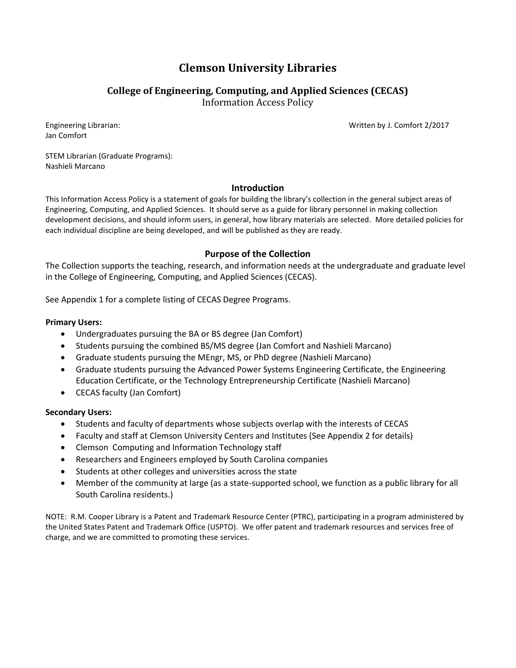# **Clemson University Libraries**

# **College of Engineering, Computing, and Applied Sciences (CECAS)**

Information Access Policy

Jan Comfort

Engineering Librarian: Written by J. Comfort 2/2017

STEM Librarian (Graduate Programs): Nashieli Marcano

## **Introduction**

This Information Access Policy is a statement of goals for building the library's collection in the general subject areas of Engineering, Computing, and Applied Sciences. It should serve as a guide for library personnel in making collection development decisions, and should inform users, in general, how library materials are selected. More detailed policies for each individual discipline are being developed, and will be published as they are ready.

## **Purpose of the Collection**

The Collection supports the teaching, research, and information needs at the undergraduate and graduate level in the College of Engineering, Computing, and Applied Sciences (CECAS).

See Appendix 1 for a complete listing of CECAS Degree Programs.

## **Primary Users:**

- Undergraduates pursuing the BA or BS degree (Jan Comfort)
- Students pursuing the combined BS/MS degree (Jan Comfort and Nashieli Marcano)
- Graduate students pursuing the MEngr, MS, or PhD degree (Nashieli Marcano)
- Graduate students pursuing the Advanced Power Systems Engineering Certificate, the Engineering Education Certificate, or the Technology Entrepreneurship Certificate (Nashieli Marcano)
- CECAS faculty (Jan Comfort)

## **Secondary Users:**

- Students and faculty of departments whose subjects overlap with the interests of CECAS
- Faculty and staff at Clemson University Centers and Institutes (See Appendix 2 for details)
- Clemson Computing and Information Technology staff
- Researchers and Engineers employed by South Carolina companies
- Students at other colleges and universities across the state
- Member of the community at large (as a state-supported school, we function as a public library for all South Carolina residents.)

NOTE: R.M. Cooper Library is a Patent and Trademark Resource Center (PTRC), participating in a program administered by the United States Patent and Trademark Office (USPTO). We offer patent and trademark resources and services free of charge, and we are committed to promoting these services.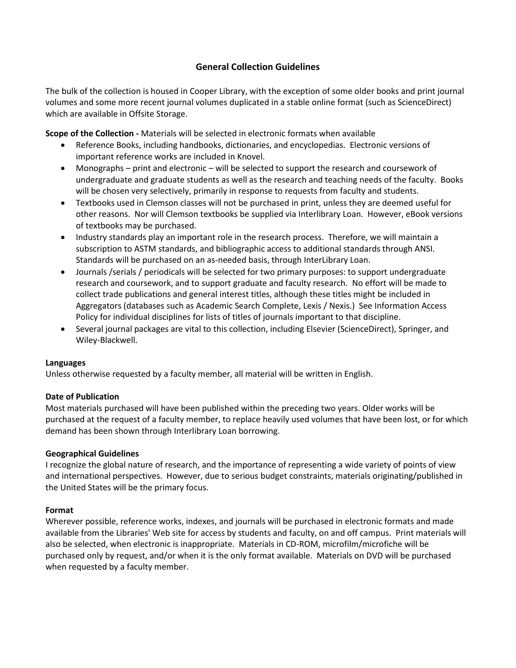## **General Collection Guidelines**

The bulk of the collection is housed in Cooper Library, with the exception of some older books and print journal volumes and some more recent journal volumes duplicated in a stable online format (such as ScienceDirect) which are available in Offsite Storage.

**Scope of the Collection -** Materials will be selected in electronic formats when available

- Reference Books, including handbooks, dictionaries, and encyclopedias. Electronic versions of important reference works are included in Knovel.
- Monographs print and electronic will be selected to support the research and coursework of undergraduate and graduate students as well as the research and teaching needs of the faculty. Books will be chosen very selectively, primarily in response to requests from faculty and students.
- Textbooks used in Clemson classes will not be purchased in print, unless they are deemed useful for other reasons. Nor will Clemson textbooks be supplied via Interlibrary Loan. However, eBook versions of textbooks may be purchased.
- Industry standards play an important role in the research process. Therefore, we will maintain a subscription to ASTM standards, and bibliographic access to additional standards through ANSI. Standards will be purchased on an as-needed basis, through InterLibrary Loan.
- Journals / serials / periodicals will be selected for two primary purposes: to support undergraduate research and coursework, and to support graduate and faculty research. No effort will be made to collect trade publications and general interest titles, although these titles might be included in Aggregators (databases such as Academic Search Complete, Lexis / Nexis.) See Information Access Policy for individual disciplines for lists of titles of journals important to that discipline.
- Several journal packages are vital to this collection, including Elsevier (ScienceDirect), Springer, and Wiley-Blackwell.

### **Languages**

Unless otherwise requested by a faculty member, all material will be written in English.

### **Date of Publication**

Most materials purchased will have been published within the preceding two years. Older works will be purchased at the request of a faculty member, to replace heavily used volumes that have been lost, or for which demand has been shown through Interlibrary Loan borrowing.

### **Geographical Guidelines**

I recognize the global nature of research, and the importance of representing a wide variety of points of view and international perspectives. However, due to serious budget constraints, materials originating/published in the United States will be the primary focus.

### **Format**

Wherever possible, reference works, indexes, and journals will be purchased in electronic formats and made available from the Libraries' Web site for access by students and faculty, on and off campus. Print materials will also be selected, when electronic is inappropriate. Materials in CD-ROM, microfilm/microfiche will be purchased only by request, and/or when it is the only format available. Materials on DVD will be purchased when requested by a faculty member.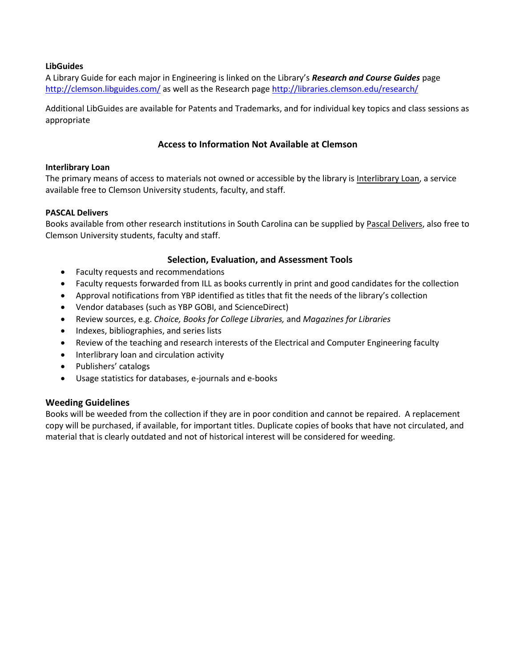### **LibGuides**

A Library Guide for each major in Engineering is linked on the Library's *Research and Course Guides* page <http://clemson.libguides.com/> as well as the Research page<http://libraries.clemson.edu/research/>

Additional LibGuides are available for Patents and Trademarks, and for individual key topics and class sessions as appropriate

## **Access to Information Not Available at Clemson**

### **Interlibrary Loan**

The primary means of access to materials not owned or accessible by the library is [Interlibrary Loan,](http://www.clemson.edu/library/interlib_loan/index.html) a service available free to Clemson University students, faculty, and staff.

### **PASCAL Delivers**

Books available from other research institutions in South Carolina can be supplied by [Pascal Delivers,](http://www.clemson.edu/library/interlib_loan/pascal.html) also free to Clemson University students, faculty and staff.

## **Selection, Evaluation, and Assessment Tools**

- Faculty requests and recommendations
- Faculty requests forwarded from ILL as books currently in print and good candidates for the collection
- Approval notifications from YBP identified as titles that fit the needs of the library's collection
- Vendor databases (such as YBP GOBI, and ScienceDirect)
- Review sources, e.g. *Choice, Books for College Libraries,* and *Magazines for Libraries*
- Indexes, bibliographies, and series lists
- Review of the teaching and research interests of the Electrical and Computer Engineering faculty
- Interlibrary loan and circulation activity
- Publishers' catalogs
- Usage statistics for databases, e-journals and e-books

### **Weeding Guidelines**

Books will be weeded from the collection if they are in poor condition and cannot be repaired. A replacement copy will be purchased, if available, for important titles. Duplicate copies of books that have not circulated, and material that is clearly outdated and not of historical interest will be considered for weeding.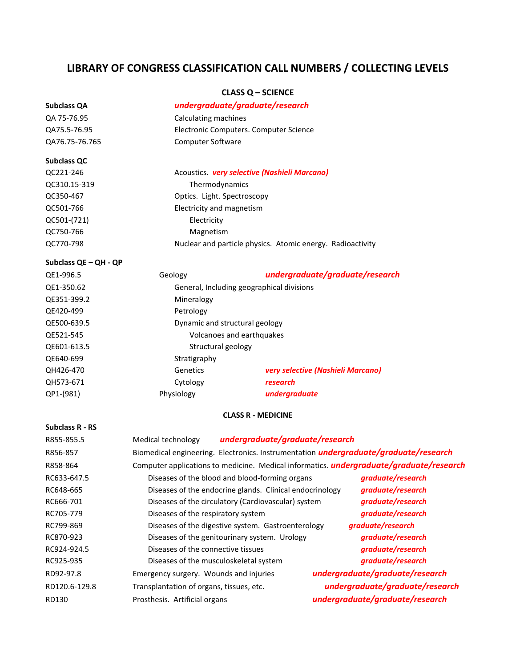# **LIBRARY OF CONGRESS CLASSIFICATION CALL NUMBERS / COLLECTING LEVELS**

### **CLASS Q – SCIENCE**

| <b>Subclass QA</b>    | undergraduate/graduate/research                                                                |                                                            |                   |
|-----------------------|------------------------------------------------------------------------------------------------|------------------------------------------------------------|-------------------|
| QA 75-76.95           | Calculating machines                                                                           |                                                            |                   |
| QA75.5-76.95          | Electronic Computers. Computer Science                                                         |                                                            |                   |
| QA76.75-76.765        | Computer Software                                                                              |                                                            |                   |
| <b>Subclass QC</b>    |                                                                                                |                                                            |                   |
| QC221-246             |                                                                                                | Acoustics. very selective (Nashieli Marcano)               |                   |
| QC310.15-319          |                                                                                                | Thermodynamics                                             |                   |
| QC350-467             |                                                                                                | Optics. Light. Spectroscopy                                |                   |
| QC501-766             |                                                                                                | Electricity and magnetism                                  |                   |
| QC501-(721)           | Electricity                                                                                    |                                                            |                   |
| QC750-766             | Magnetism                                                                                      |                                                            |                   |
| QC770-798             |                                                                                                | Nuclear and particle physics. Atomic energy. Radioactivity |                   |
| Subclass QE - QH - QP |                                                                                                |                                                            |                   |
| QE1-996.5             | Geology                                                                                        | undergraduate/graduate/research                            |                   |
| QE1-350.62            |                                                                                                | General, Including geographical divisions                  |                   |
| QE351-399.2           | Mineralogy                                                                                     |                                                            |                   |
| QE420-499             | Petrology                                                                                      |                                                            |                   |
| QE500-639.5           |                                                                                                | Dynamic and structural geology                             |                   |
| QE521-545             |                                                                                                | Volcanoes and earthquakes                                  |                   |
| QE601-613.5           |                                                                                                | Structural geology                                         |                   |
| QE640-699             | Stratigraphy                                                                                   |                                                            |                   |
| QH426-470             | Genetics                                                                                       | very selective (Nashieli Marcano)                          |                   |
| QH573-671             | Cytology                                                                                       | research                                                   |                   |
| QP1-(981)             | Physiology                                                                                     | undergraduate                                              |                   |
|                       |                                                                                                | <b>CLASS R - MEDICINE</b>                                  |                   |
| Subclass R - RS       |                                                                                                |                                                            |                   |
| R855-855.5            | Medical technology                                                                             | undergraduate/graduate/research                            |                   |
| R856-857              | Biomedical engineering. Electronics. Instrumentation <i>undergraduate/graduate/research</i>    |                                                            |                   |
| R858-864              | Computer applications to medicine. Medical informatics. <i>undergraduate/graduate/research</i> |                                                            |                   |
| RC633-647.5           | Diseases of the blood and blood-forming organs <b>graduate/research</b>                        |                                                            |                   |
| RC648-665             | graduate/research<br>Diseases of the endocrine glands. Clinical endocrinology                  |                                                            |                   |
| RC666-701             | graduate/research<br>Diseases of the circulatory (Cardiovascular) system                       |                                                            |                   |
| RC705-779             | graduate/research<br>Diseases of the respiratory system                                        |                                                            |                   |
| RC799-869             |                                                                                                | Diseases of the digestive system. Gastroenterology         | graduate/research |
| RC870-923             |                                                                                                | Diseases of the genitourinary system. Urology              | graduate/research |
| $RCO2A_02A_5$         | Disagres of the connective tissues<br>araduate /research                                       |                                                            |                   |

| RC705-779     | Diseases of the respiratory system                 | graduate/research               |
|---------------|----------------------------------------------------|---------------------------------|
| RC799-869     | Diseases of the digestive system. Gastroenterology | graduate/research               |
| RC870-923     | Diseases of the genitourinary system. Urology      | graduate/research               |
| RC924-924.5   | Diseases of the connective tissues                 | graduate/research               |
| RC925-935     | Diseases of the musculoskeletal system             | graduate/research               |
| RD92-97.8     | Emergency surgery. Wounds and injuries             | undergraduate/graduate/research |
| RD120.6-129.8 | Transplantation of organs, tissues, etc.           | undergraduate/graduate/research |
| RD130         | Prosthesis. Artificial organs                      | undergraduate/graduate/research |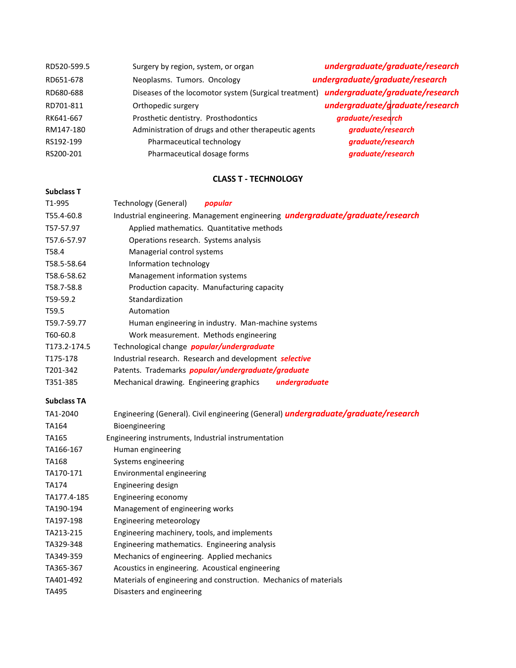| RD520-599.5 | Surgery by region, system, or organ                                                   | undergraduate/graduate/research |
|-------------|---------------------------------------------------------------------------------------|---------------------------------|
| RD651-678   | Neoplasms. Tumors. Oncology                                                           | undergraduate/graduate/research |
| RD680-688   | Diseases of the locomotor system (Surgical treatment) undergraduate/graduate/research |                                 |
| RD701-811   | Orthopedic surgery                                                                    | undergraduate/graduate/research |
| RK641-667   | Prosthetic dentistry. Prosthodontics                                                  | graduate/research               |
| RM147-180   | Administration of drugs and other therapeutic agents                                  | graduate/research               |
| RS192-199   | Pharmaceutical technology                                                             | graduate/research               |
| RS200-201   | Pharmaceutical dosage forms                                                           | graduate/research               |

### **CLASS T - TECHNOLOGY**

#### **Subclass T**

T1-995 Technology (General) *popular* T55.4-60.8 Industrial engineering. Management engineering *undergraduate/graduate/research* T57-57.97 Applied mathematics. Quantitative methods T57.6-57.97 Operations research. Systems analysis T58.4 Managerial control systems T58.5-58.64 Information technology T58.6-58.62 Management information systems T58.7-58.8 Production capacity. Manufacturing capacity T59-59.2 Standardization T59.5 Automation T59.7-59.77 Human engineering in industry. Man-machine systems T60-60.8 Work measurement. Methods engineering T173.2-174.5 Technological change *popular/undergraduate* T175-178 Industrial research. Research and development *selective* T201-342 Patents. Trademarks *popular/undergraduate/graduate* T351-385 Mechanical drawing. Engineering graphics *undergraduate* **Subclass TA** TA1-2040 Engineering (General). Civil engineering (General) *undergraduate/graduate/research* TA164 Bioengineering TA165 Engineering instruments, Industrial instrumentation TA166-167 Human engineering TA168 Systems engineering

TA170-171 Environmental engineering

| Engineering design |
|--------------------|
|                    |

- TA177.4-185 Engineering economy
- TA190-194 Management of engineering works
- TA197-198 Engineering meteorology
- TA213-215 Engineering machinery, tools, and implements
- TA329-348 Engineering mathematics. Engineering analysis
- TA349-359 Mechanics of engineering. Applied mechanics
- TA365-367 Acoustics in engineering. Acoustical engineering
- TA401-492 Materials of engineering and construction. Mechanics of materials
- TA495 Disasters and engineering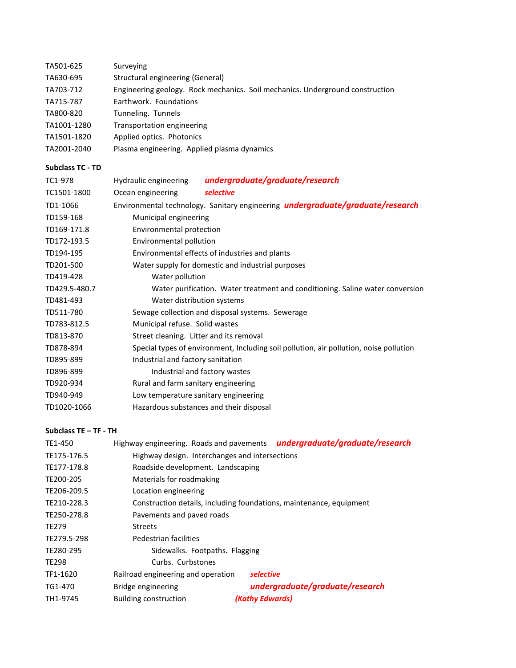| TA501-625               | Surveying                                                                              |                                                                                |  |  |
|-------------------------|----------------------------------------------------------------------------------------|--------------------------------------------------------------------------------|--|--|
| TA630-695               | <b>Structural engineering (General)</b>                                                |                                                                                |  |  |
| TA703-712               | Engineering geology. Rock mechanics. Soil mechanics. Underground construction          |                                                                                |  |  |
| TA715-787               | Earthwork. Foundations                                                                 |                                                                                |  |  |
| TA800-820               | Tunneling. Tunnels                                                                     |                                                                                |  |  |
| TA1001-1280             | <b>Transportation engineering</b>                                                      |                                                                                |  |  |
| TA1501-1820             | Applied optics. Photonics                                                              |                                                                                |  |  |
| TA2001-2040             | Plasma engineering. Applied plasma dynamics                                            |                                                                                |  |  |
| <b>Subclass TC - TD</b> |                                                                                        |                                                                                |  |  |
| TC1-978                 | Hydraulic engineering                                                                  | undergraduate/graduate/research                                                |  |  |
| TC1501-1800             | Ocean engineering                                                                      | selective                                                                      |  |  |
| TD1-1066                |                                                                                        | Environmental technology. Sanitary engineering undergraduate/graduate/research |  |  |
| TD159-168               | Municipal engineering                                                                  |                                                                                |  |  |
| TD169-171.8             | Environmental protection                                                               |                                                                                |  |  |
| TD172-193.5             | Environmental pollution                                                                |                                                                                |  |  |
| TD194-195               | Environmental effects of industries and plants                                         |                                                                                |  |  |
| TD201-500               | Water supply for domestic and industrial purposes                                      |                                                                                |  |  |
| TD419-428               | Water pollution                                                                        |                                                                                |  |  |
| TD429.5-480.7           | Water purification. Water treatment and conditioning. Saline water conversion          |                                                                                |  |  |
| TD481-493               | Water distribution systems                                                             |                                                                                |  |  |
| TD511-780               | Sewage collection and disposal systems. Sewerage                                       |                                                                                |  |  |
| TD783-812.5             | Municipal refuse. Solid wastes                                                         |                                                                                |  |  |
| TD813-870               | Street cleaning. Litter and its removal                                                |                                                                                |  |  |
| TD878-894               | Special types of environment, Including soil pollution, air pollution, noise pollution |                                                                                |  |  |
| TD895-899               | Industrial and factory sanitation                                                      |                                                                                |  |  |
| TD896-899               |                                                                                        | Industrial and factory wastes                                                  |  |  |
| TD920-934               | Rural and farm sanitary engineering                                                    |                                                                                |  |  |
| TD940-949               |                                                                                        | Low temperature sanitary engineering                                           |  |  |
| TD1020-1066             |                                                                                        | Hazardous substances and their disposal                                        |  |  |
|                         |                                                                                        |                                                                                |  |  |

### **Subclass TE – TF - TH**

| TE1-450      |                                                                     |                 | Highway engineering. Roads and pavements undergraduate/graduate/research |
|--------------|---------------------------------------------------------------------|-----------------|--------------------------------------------------------------------------|
| TE175-176.5  | Highway design. Interchanges and intersections                      |                 |                                                                          |
| TE177-178.8  | Roadside development. Landscaping                                   |                 |                                                                          |
| TE200-205    | Materials for roadmaking                                            |                 |                                                                          |
| TE206-209.5  | Location engineering                                                |                 |                                                                          |
| TE210-228.3  | Construction details, including foundations, maintenance, equipment |                 |                                                                          |
| TE250-278.8  | Pavements and paved roads                                           |                 |                                                                          |
| <b>TE279</b> | <b>Streets</b>                                                      |                 |                                                                          |
| TE279.5-298  | Pedestrian facilities                                               |                 |                                                                          |
| TE280-295    | Sidewalks. Footpaths. Flagging                                      |                 |                                                                          |
| <b>TE298</b> | Curbs. Curbstones                                                   |                 |                                                                          |
| TF1-1620     | Railroad engineering and operation                                  | selective       |                                                                          |
| TG1-470      | Bridge engineering                                                  |                 | undergraduate/graduate/research                                          |
| TH1-9745     | Building construction                                               | (Kathy Edwards) |                                                                          |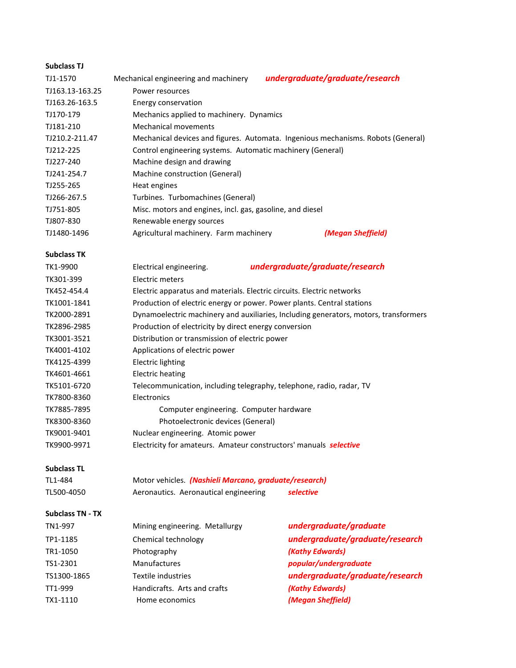| <b>Subclass TJ</b> |                                                            |                                                                                  |
|--------------------|------------------------------------------------------------|----------------------------------------------------------------------------------|
| TJ1-1570           | Mechanical engineering and machinery                       | undergraduate/graduate/research                                                  |
| TJ163.13-163.25    | Power resources                                            |                                                                                  |
| TJ163.26-163.5     | Energy conservation                                        |                                                                                  |
| TJ170-179          | Mechanics applied to machinery. Dynamics                   |                                                                                  |
| TJ181-210          | <b>Mechanical movements</b>                                |                                                                                  |
| TJ210.2-211.47     |                                                            | Mechanical devices and figures. Automata. Ingenious mechanisms. Robots (General) |
| TJ212-225          | Control engineering systems. Automatic machinery (General) |                                                                                  |
| TJ227-240          | Machine design and drawing                                 |                                                                                  |
| TJ241-254.7        | Machine construction (General)                             |                                                                                  |
| TJ255-265          | Heat engines                                               |                                                                                  |
| TJ266-267.5        | Turbines. Turbomachines (General)                          |                                                                                  |
| TJ751-805          | Misc. motors and engines, incl. gas, gasoline, and diesel  |                                                                                  |
| TJ807-830          | Renewable energy sources                                   |                                                                                  |
| TJ1480-1496        | Agricultural machinery. Farm machinery                     | (Megan Sheffield)                                                                |
| <b>Subclass TK</b> |                                                            |                                                                                  |

| TK1-9900    | Electrical engineering.                                                  | undergraduate/graduate/research                                                      |
|-------------|--------------------------------------------------------------------------|--------------------------------------------------------------------------------------|
| TK301-399   | Electric meters                                                          |                                                                                      |
| TK452-454.4 |                                                                          | Electric apparatus and materials. Electric circuits. Electric networks               |
| TK1001-1841 |                                                                          | Production of electric energy or power. Power plants. Central stations               |
| TK2000-2891 |                                                                          | Dynamoelectric machinery and auxiliaries, Including generators, motors, transformers |
| TK2896-2985 | Production of electricity by direct energy conversion                    |                                                                                      |
| TK3001-3521 | Distribution or transmission of electric power                           |                                                                                      |
| TK4001-4102 | Applications of electric power                                           |                                                                                      |
| TK4125-4399 | Electric lighting                                                        |                                                                                      |
| TK4601-4661 | Electric heating                                                         |                                                                                      |
| TK5101-6720 |                                                                          | Telecommunication, including telegraphy, telephone, radio, radar, TV                 |
| TK7800-8360 | Electronics                                                              |                                                                                      |
| TK7885-7895 | Computer engineering. Computer hardware                                  |                                                                                      |
| TK8300-8360 | Photoelectronic devices (General)                                        |                                                                                      |
| TK9001-9401 | Nuclear engineering. Atomic power                                        |                                                                                      |
| TK9900-9971 | Electricity for amateurs. Amateur constructors' manuals <b>selective</b> |                                                                                      |

### **Subclass TL**

| TL1-484    | Motor vehicles. (Nashieli Marcano, graduate/research) |           |
|------------|-------------------------------------------------------|-----------|
| TL500-4050 | Aeronautics. Aeronautical engineering                 | selective |

## **Subclass TN - TX**

| TN1-997     | Mining engineering. Metallurgy | undergraduate/graduate          |
|-------------|--------------------------------|---------------------------------|
| TP1-1185    | Chemical technology            | undergraduate/graduate/research |
| TR1-1050    | Photography                    | (Kathy Edwards)                 |
| TS1-2301    | <b>Manufactures</b>            | popular/undergraduate           |
| TS1300-1865 | Textile industries             | undergraduate/graduate/research |
| TT1-999     | Handicrafts. Arts and crafts   | (Kathy Edwards)                 |
| TX1-1110    | Home economics                 | (Megan Sheffield)               |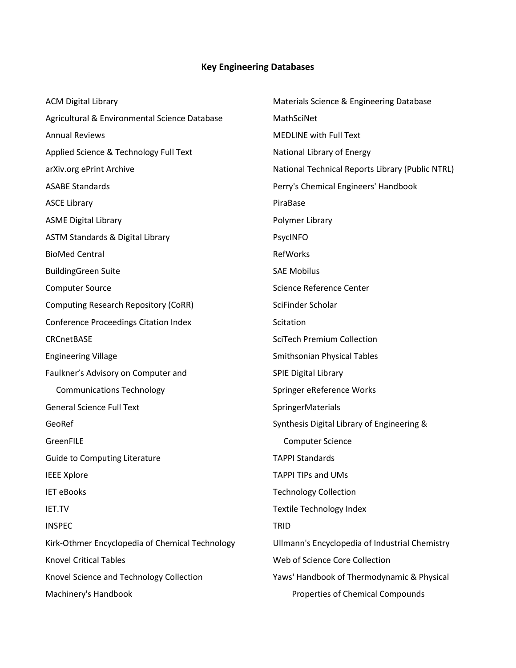# **Key Engineering Databases**

| <b>ACM Digital Library</b>                      | Materials Science & Engineering Database         |
|-------------------------------------------------|--------------------------------------------------|
| Agricultural & Environmental Science Database   | MathSciNet                                       |
| <b>Annual Reviews</b>                           | <b>MEDLINE with Full Text</b>                    |
| Applied Science & Technology Full Text          | National Library of Energy                       |
| arXiv.org ePrint Archive                        | National Technical Reports Library (Public NTRL) |
| <b>ASABE Standards</b>                          | Perry's Chemical Engineers' Handbook             |
| <b>ASCE Library</b>                             | PiraBase                                         |
| <b>ASME Digital Library</b>                     | Polymer Library                                  |
| ASTM Standards & Digital Library                | PsycINFO                                         |
| <b>BioMed Central</b>                           | RefWorks                                         |
| <b>BuildingGreen Suite</b>                      | <b>SAE Mobilus</b>                               |
| <b>Computer Source</b>                          | Science Reference Center                         |
| <b>Computing Research Repository (CoRR)</b>     | SciFinder Scholar                                |
| <b>Conference Proceedings Citation Index</b>    | Scitation                                        |
| CRCnetBASE                                      | <b>SciTech Premium Collection</b>                |
| <b>Engineering Village</b>                      | Smithsonian Physical Tables                      |
| Faulkner's Advisory on Computer and             | <b>SPIE Digital Library</b>                      |
| <b>Communications Technology</b>                | Springer eReference Works                        |
| <b>General Science Full Text</b>                | SpringerMaterials                                |
| GeoRef                                          | Synthesis Digital Library of Engineering &       |
| GreenFILE                                       | <b>Computer Science</b>                          |
| <b>Guide to Computing Literature</b>            | <b>TAPPI Standards</b>                           |
| <b>IEEE Xplore</b>                              | <b>TAPPI TIPs and UMs</b>                        |
| <b>IET eBooks</b>                               | <b>Technology Collection</b>                     |
| IET.TV                                          | Textile Technology Index                         |
| <b>INSPEC</b>                                   | <b>TRID</b>                                      |
| Kirk-Othmer Encyclopedia of Chemical Technology | Ullmann's Encyclopedia of Industrial Chemistry   |
| <b>Knovel Critical Tables</b>                   | Web of Science Core Collection                   |
| Knovel Science and Technology Collection        | Yaws' Handbook of Thermodynamic & Physical       |
| Machinery's Handbook                            | Properties of Chemical Compounds                 |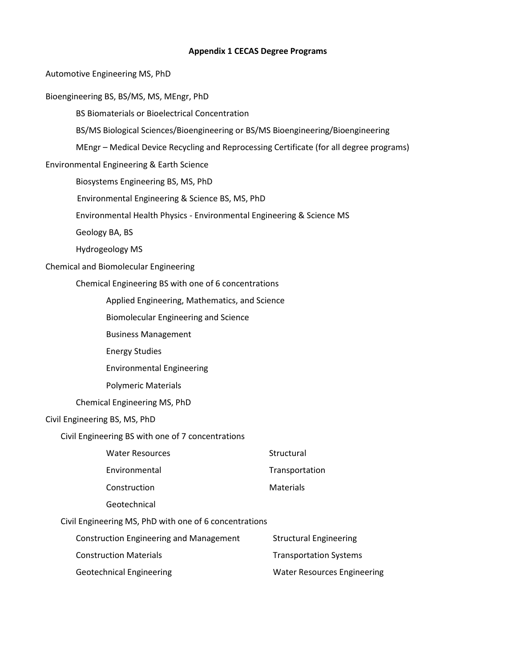#### **Appendix 1 CECAS Degree Programs**

Automotive Engineering MS, PhD

Bioengineering BS, BS/MS, MS, MEngr, PhD

BS Biomaterials or Bioelectrical Concentration

BS/MS Biological Sciences/Bioengineering or BS/MS Bioengineering/Bioengineering

MEngr – Medical Device Recycling and Reprocessing Certificate (for all degree programs)

Environmental Engineering & Earth Science

Biosystems Engineering BS, MS, PhD

Environmental Engineering & Science BS, MS, PhD

Environmental Health Physics - Environmental Engineering & Science MS

Geology BA, BS

Hydrogeology MS

## Chemical and Biomolecular Engineering

Chemical Engineering BS with one of 6 concentrations

Applied Engineering, Mathematics, and Science

Biomolecular Engineering and Science

Business Management

Energy Studies

Environmental Engineering

Polymeric Materials

Chemical Engineering MS, PhD

### Civil Engineering BS, MS, PhD

Civil Engineering BS with one of 7 concentrations

| Structural       |
|------------------|
| Transportation   |
| <b>Materials</b> |
|                  |

[Geotechnical](http://www.clemson.edu/cecas/departments/ce/academics/undergraduate/emphasis/geotechnical.html)

Civil Engineering MS, PhD with one of 6 concentrations

| Construction Engineering and Management | <b>Structural Engineering</b>      |
|-----------------------------------------|------------------------------------|
| <b>Construction Materials</b>           | <b>Transportation Systems</b>      |
| <b>Geotechnical Engineering</b>         | <b>Water Resources Engineering</b> |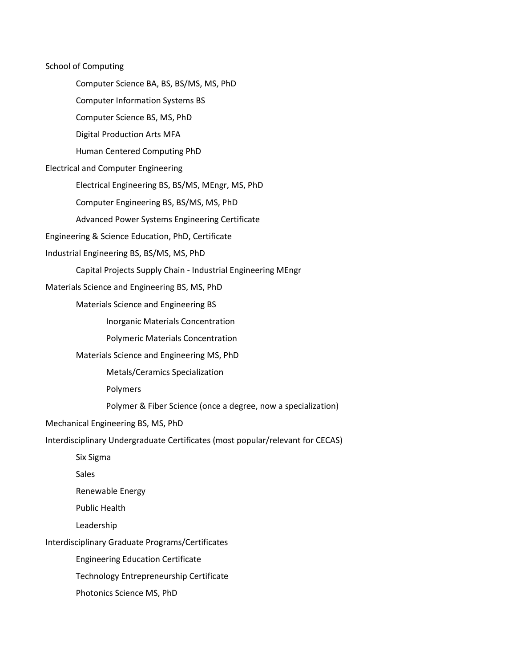School of Computing Computer Science BA, BS, BS/MS, MS, PhD Computer Information Systems BS Computer Science BS, MS, PhD Digital Production Arts MFA Human Centered Computing PhD Electrical and Computer Engineering Electrical Engineering BS, BS/MS, MEngr, MS, PhD Computer Engineering BS, BS/MS, MS, PhD Advanced Power Systems Engineering Certificate Engineering & Science Education, PhD, Certificate Industrial Engineering BS, BS/MS, MS, PhD Capital Projects Supply Chain - Industrial Engineering MEngr Materials Science and Engineering BS, MS, PhD Materials Science and Engineering BS Inorganic Materials Concentration Polymeric Materials Concentration Materials Science and Engineering MS, PhD Metals/Ceramics Specialization Polymers Polymer & Fiber Science (once a degree, now a specialization) Mechanical Engineering BS, MS, PhD Interdisciplinary Undergraduate Certificates (most popular/relevant for CECAS) Six Sigma **Sales** Renewable Energy Public Health Leadership Interdisciplinary Graduate Programs/Certificates Engineering Education Certificate Technology Entrepreneurship Certificate Photonics Science MS, PhD